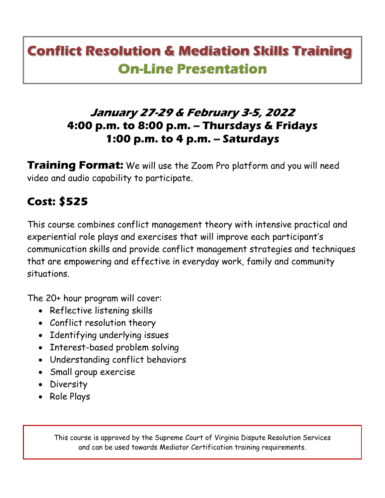# **Conflict Resolution & Mediation Skills Training On-Line Presentation**

## **January 27-29 & February 3-5, 2022 4:00 p.m. to 8:00 p.m. -- Thursdays & Fridays 1:00 p.m. to 4 p.m. -- Saturdays**

**Training Format:** We will use the Zoom Pro platform and you will need video and audio capability to participate.

# **Cost: \$525**

This course combines conflict management theory with intensive practical and experiential role plays and exercises that will improve each participant's communication skills and provide conflict management strategies and techniques that are empowering and effective in everyday work, family and community situations.

The 20+ hour program will cover:

- Reflective listening skills
- Conflict resolution theory
- Identifying underlying issues
- Interest-based problem solving
- Understanding conflict behaviors
- Small group exercise
- Diversity
- Role Plays

This course is approved by the Supreme Court of Virginia Dispute Resolution Services and can be used towards Mediator Certification training requirements.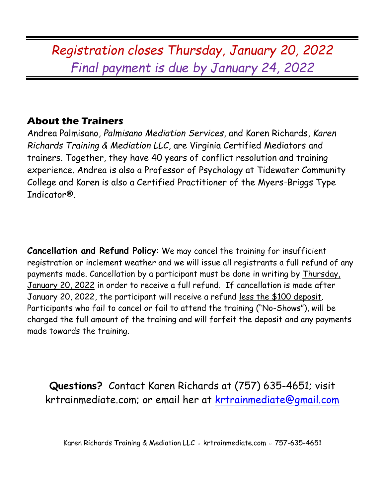*Registration closes Thursday, January 20, 2022 Final payment is due by January 24, 2022*

### **About the Trainers**

Andrea Palmisano, *Palmisano Mediation Services*, and Karen Richards, *Karen Richards Training & Mediation LLC*, are Virginia Certified Mediators and trainers. Together, they have 40 years of conflict resolution and training experience. Andrea is also a Professor of Psychology at Tidewater Community College and Karen is also a Certified Practitioner of the Myers-Briggs Type Indicator®.

**Cancellation and Refund Policy**: We may cancel the training for insufficient registration or inclement weather and we will issue all registrants a full refund of any payments made. Cancellation by a participant must be done in writing by Thursday, January 20, 2022 in order to receive a full refund. If cancellation is made after January 20, 2022, the participant will receive a refund less the \$100 deposit. Participants who fail to cancel or fail to attend the training ("No-Shows"), will be charged the full amount of the training and will forfeit the deposit and any payments made towards the training.

**Questions?** Contact Karen Richards at (757) 635-4651; visit krtrainmediate.com; or email her at [krtrainmediate@gmail.com](mailto:krtrainmediate@gmail.com)

Karen Richards Training & Mediation LLC ◦ krtrainmediate.com ◦ 757-635-4651